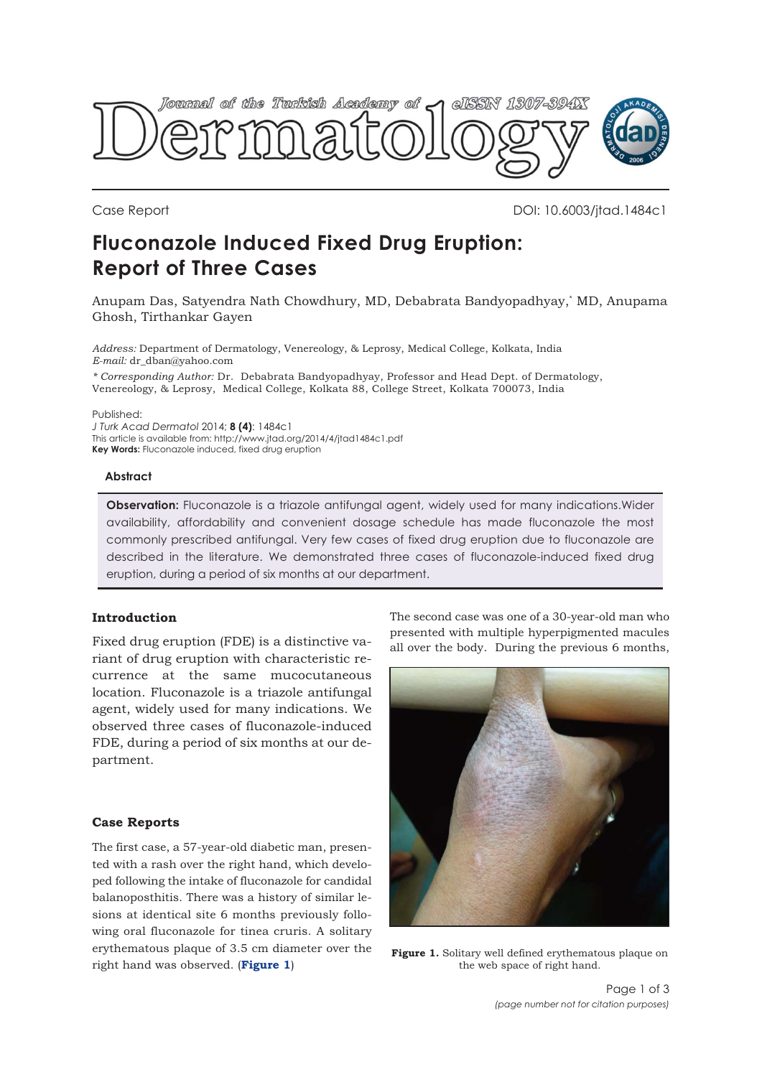

Case Report DOI: 10.6003/jtad.1484c1

# **Fluconazole Induced Fixed Drug Eruption: Report of Three Cases**

Anupam Das, Satyendra Nath Chowdhury, MD, Debabrata Bandyopadhyay,\* MD, Anupama Ghosh, Tirthankar Gayen

*Address:* Department of Dermatology, Venereology, & Leprosy, Medical College, Kolkata, India *E-mail:* dr\_dban@yahoo.com

*\* Corresponding Author:* Dr. Debabrata Bandyopadhyay, Professor and Head Dept. of Dermatology, Venereology, & Leprosy, Medical College, Kolkata 88, College Street, Kolkata 700073, India

Published:

*J Turk Acad Dermatol* 2014; **8 (4)**: 1484c1 This article is available from: http://www.jtad.org/2014/4/jtad1484c1.pdf **Key Words:** Fluconazole induced, fixed drug eruption

#### **Abstract**

**Observation:** Fluconazole is a triazole antifungal agent, widely used for many indications.Wider availability, affordability and convenient dosage schedule has made fluconazole the most commonly prescribed antifungal. Very few cases of fixed drug eruption due to fluconazole are described in the literature. We demonstrated three cases of fluconazole-induced fixed drug eruption, during a period of six months at our department.

## **Introduction**

Fixed drug eruption (FDE) is a distinctive variant of drug eruption with characteristic recurrence at the same mucocutaneous location. Fluconazole is a triazole antifungal agent, widely used for many indications. We observed three cases of fluconazole-induced FDE, during a period of six months at our department.

### **Case Reports**

The first case, a 57-year-old diabetic man, presented with a rash over the right hand, which developed following the intake of fluconazole for candidal balanoposthitis. There was a history of similar lesions at identical site 6 months previously following oral fluconazole for tinea cruris. A solitary erythematous plaque of 3.5 cm diameter over the right hand was observed. (**Figure 1**)

The second case was one of a 30-year-old man who presented with multiple hyperpigmented macules all over the body. During the previous 6 months,



**Figure 1.** Solitary well defined erythematous plaque on the web space of right hand.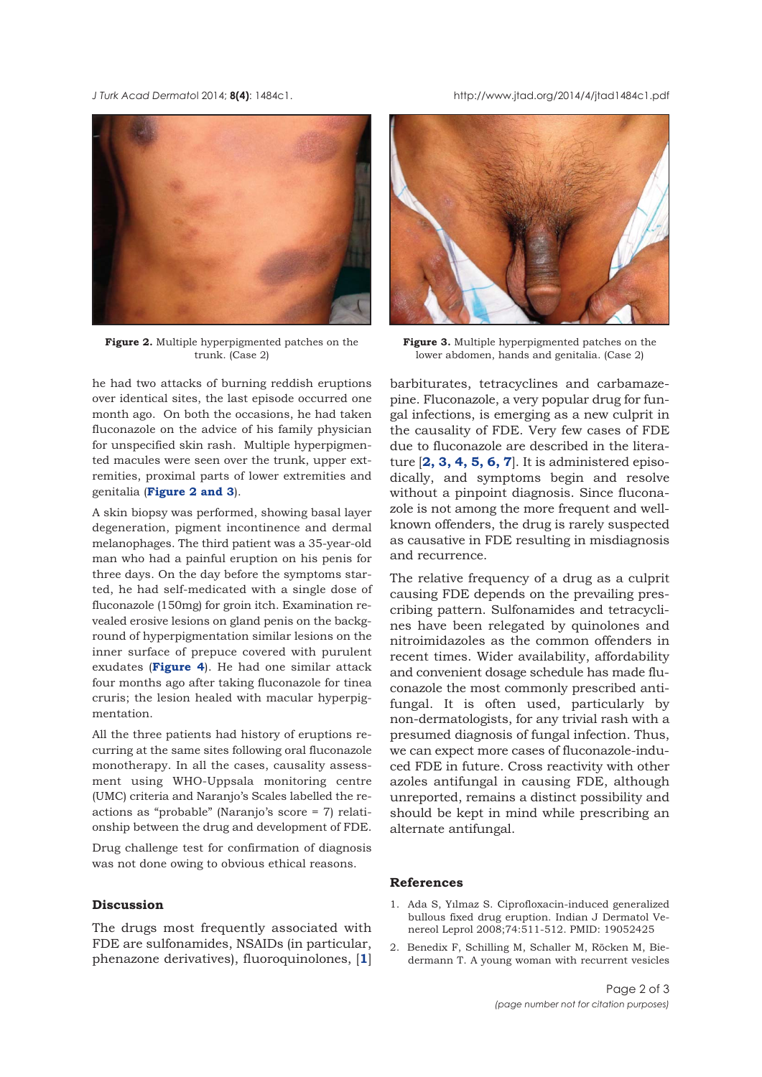*J Turk Acad Dermato*l 2014; **8(4)**: 1484c1. http://www.jtad.org/2014/4/jtad1484c1.pdf



**Figure 2.** Multiple hyperpigmented patches on the trunk. (Case 2)

he had two attacks of burning reddish eruptions over identical sites, the last episode occurred one month ago. On both the occasions, he had taken fluconazole on the advice of his family physician for unspecified skin rash. Multiple hyperpigmented macules were seen over the trunk, upper extremities, proximal parts of lower extremities and genitalia (**Figure 2 and 3**).

A skin biopsy was performed, showing basal layer degeneration, pigment incontinence and dermal melanophages. The third patient was a 35-year-old man who had a painful eruption on his penis for three days. On the day before the symptoms started, he had self-medicated with a single dose of fluconazole (150mg) for groin itch. Examination revealed erosive lesions on gland penis on the background of hyperpigmentation similar lesions on the inner surface of prepuce covered with purulent exudates (**[Figure 4](#page-2-0)**). He had one similar attack four months ago after taking fluconazole for tinea cruris; the lesion healed with macular hyperpigmentation.

All the three patients had history of eruptions recurring at the same sites following oral fluconazole monotherapy. In all the cases, causality assessment using WHO-Uppsala monitoring centre (UMC) criteria and Naranjo's Scales labelled the reactions as "probable" (Naranjo's score = 7) relationship between the drug and development of FDE.

Drug challenge test for confirmation of diagnosis was not done owing to obvious ethical reasons.

### **Discussion**

The drugs most frequently associated with FDE are sulfonamides, NSAIDs (in particular, phenazone derivatives), fluoroquinolones, [**1**]



**Figure 3.** Multiple hyperpigmented patches on the lower abdomen, hands and genitalia. (Case 2)

barbiturates, tetracyclines and carbamazepine. Fluconazole, a very popular drug for fungal infections, is emerging as a new culprit in the causality of FDE. Very few cases of FDE due to fluconazole are described in the literature [**2, [3](#page-2-0), [4, 5, 6](#page-2-0), [7](#page-2-0)**]. It is administered episodically, and symptoms begin and resolve without a pinpoint diagnosis. Since fluconazole is not among the more frequent and wellknown offenders, the drug is rarely suspected as causative in FDE resulting in misdiagnosis and recurrence.

The relative frequency of a drug as a culprit causing FDE depends on the prevailing prescribing pattern. Sulfonamides and tetracyclines have been relegated by quinolones and nitroimidazoles as the common offenders in recent times. Wider availability, affordability and convenient dosage schedule has made fluconazole the most commonly prescribed antifungal. It is often used, particularly by non-dermatologists, for any trivial rash with a presumed diagnosis of fungal infection. Thus, we can expect more cases of fluconazole-induced FDE in future. Cross reactivity with other azoles antifungal in causing FDE, although unreported, remains a distinct possibility and should be kept in mind while prescribing an alternate antifungal.

#### **References**

- 1. Ada S, Yılmaz S. Ciprofloxacin-induced generalized bullous fixed drug eruption. Indian J Dermatol Venereol Leprol 2008;74:511-512. PMID: 19052425
- 2. Benedix F, Schilling M, Schaller M, Röcken M, Biedermann T. A young woman with recurrent vesicles